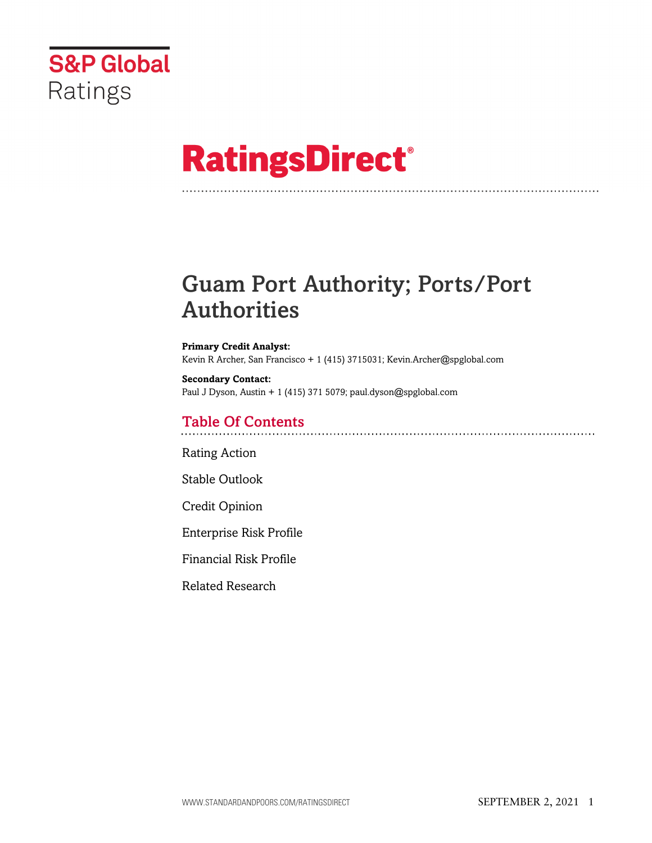

# **RatingsDirect®**

## Guam Port Authority; Ports/Port Authorities

**Primary Credit Analyst:** Kevin R Archer, San Francisco + 1 (415) 3715031; Kevin.Archer@spglobal.com

**Secondary Contact:** Paul J Dyson, Austin + 1 (415) 371 5079; paul.dyson@spglobal.com

## Table Of Contents

[Rating Action](#page-1-0)

[Stable Outlook](#page-2-0)

[Credit Opinion](#page-2-1)

[Enterprise Risk Profile](#page-3-0)

[Financial Risk Profile](#page-5-0)

[Related Research](#page-5-1)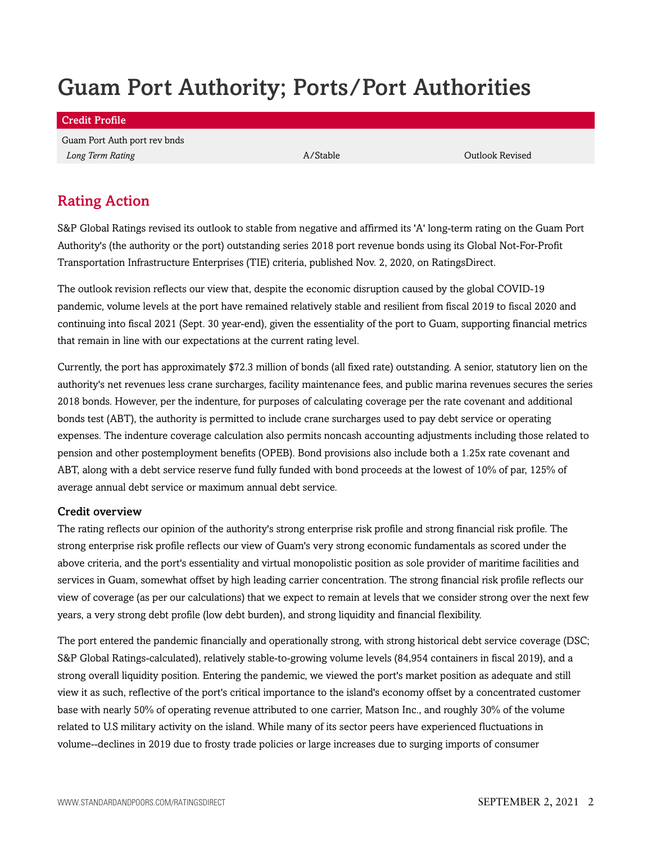## Guam Port Authority; Ports/Port Authorities

Credit Profile

Guam Port Auth port rev bnds **Long Term Rating Community Community Community Community Community Community Community Community Community Community Community Community Community Community Community Community Community Community Community Community Comm** 

## <span id="page-1-0"></span>Rating Action

S&P Global Ratings revised its outlook to stable from negative and affirmed its 'A' long-term rating on the Guam Port Authority's (the authority or the port) outstanding series 2018 port revenue bonds using its Global Not-For-Profit Transportation Infrastructure Enterprises (TIE) criteria, published Nov. 2, 2020, on RatingsDirect.

The outlook revision reflects our view that, despite the economic disruption caused by the global COVID-19 pandemic, volume levels at the port have remained relatively stable and resilient from fiscal 2019 to fiscal 2020 and continuing into fiscal 2021 (Sept. 30 year-end), given the essentiality of the port to Guam, supporting financial metrics that remain in line with our expectations at the current rating level.

Currently, the port has approximately \$72.3 million of bonds (all fixed rate) outstanding. A senior, statutory lien on the authority's net revenues less crane surcharges, facility maintenance fees, and public marina revenues secures the series 2018 bonds. However, per the indenture, for purposes of calculating coverage per the rate covenant and additional bonds test (ABT), the authority is permitted to include crane surcharges used to pay debt service or operating expenses. The indenture coverage calculation also permits noncash accounting adjustments including those related to pension and other postemployment benefits (OPEB). Bond provisions also include both a 1.25x rate covenant and ABT, along with a debt service reserve fund fully funded with bond proceeds at the lowest of 10% of par, 125% of average annual debt service or maximum annual debt service.

## Credit overview

The rating reflects our opinion of the authority's strong enterprise risk profile and strong financial risk profile. The strong enterprise risk profile reflects our view of Guam's very strong economic fundamentals as scored under the above criteria, and the port's essentiality and virtual monopolistic position as sole provider of maritime facilities and services in Guam, somewhat offset by high leading carrier concentration. The strong financial risk profile reflects our view of coverage (as per our calculations) that we expect to remain at levels that we consider strong over the next few years, a very strong debt profile (low debt burden), and strong liquidity and financial flexibility.

The port entered the pandemic financially and operationally strong, with strong historical debt service coverage (DSC; S&P Global Ratings-calculated), relatively stable-to-growing volume levels (84,954 containers in fiscal 2019), and a strong overall liquidity position. Entering the pandemic, we viewed the port's market position as adequate and still view it as such, reflective of the port's critical importance to the island's economy offset by a concentrated customer base with nearly 50% of operating revenue attributed to one carrier, Matson Inc., and roughly 30% of the volume related to U.S military activity on the island. While many of its sector peers have experienced fluctuations in volume--declines in 2019 due to frosty trade policies or large increases due to surging imports of consumer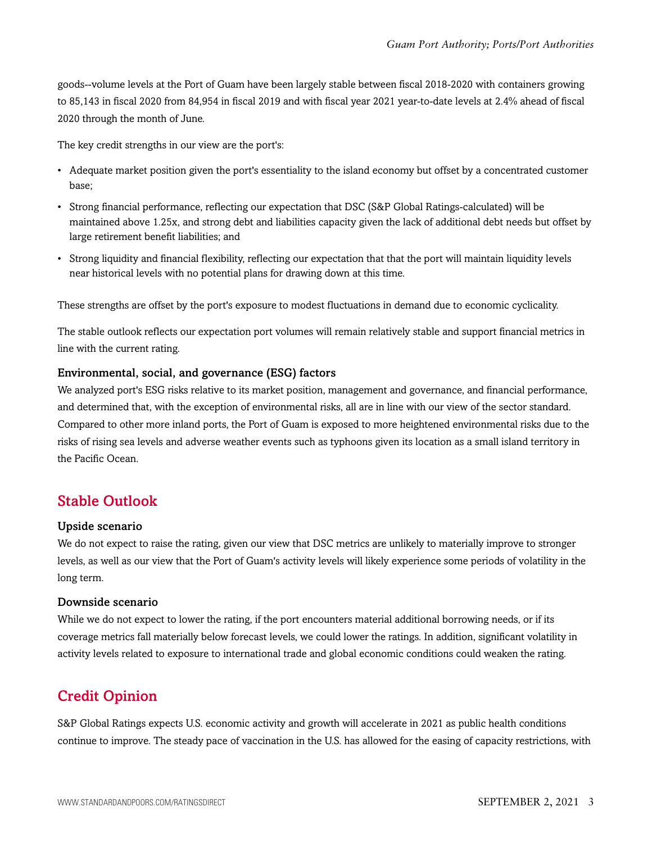goods--volume levels at the Port of Guam have been largely stable between fiscal 2018-2020 with containers growing to 85,143 in fiscal 2020 from 84,954 in fiscal 2019 and with fiscal year 2021 year-to-date levels at 2.4% ahead of fiscal 2020 through the month of June.

The key credit strengths in our view are the port's:

- Adequate market position given the port's essentiality to the island economy but offset by a concentrated customer base;
- Strong financial performance, reflecting our expectation that DSC (S&P Global Ratings-calculated) will be maintained above 1.25x, and strong debt and liabilities capacity given the lack of additional debt needs but offset by large retirement benefit liabilities; and
- Strong liquidity and financial flexibility, reflecting our expectation that that the port will maintain liquidity levels near historical levels with no potential plans for drawing down at this time.

These strengths are offset by the port's exposure to modest fluctuations in demand due to economic cyclicality.

The stable outlook reflects our expectation port volumes will remain relatively stable and support financial metrics in line with the current rating.

### Environmental, social, and governance (ESG) factors

We analyzed port's ESG risks relative to its market position, management and governance, and financial performance, and determined that, with the exception of environmental risks, all are in line with our view of the sector standard. Compared to other more inland ports, the Port of Guam is exposed to more heightened environmental risks due to the risks of rising sea levels and adverse weather events such as typhoons given its location as a small island territory in the Pacific Ocean.

## <span id="page-2-0"></span>Stable Outlook

#### Upside scenario

We do not expect to raise the rating, given our view that DSC metrics are unlikely to materially improve to stronger levels, as well as our view that the Port of Guam's activity levels will likely experience some periods of volatility in the long term.

### Downside scenario

While we do not expect to lower the rating, if the port encounters material additional borrowing needs, or if its coverage metrics fall materially below forecast levels, we could lower the ratings. In addition, significant volatility in activity levels related to exposure to international trade and global economic conditions could weaken the rating.

## <span id="page-2-1"></span>Credit Opinion

S&P Global Ratings expects U.S. economic activity and growth will accelerate in 2021 as public health conditions continue to improve. The steady pace of vaccination in the U.S. has allowed for the easing of capacity restrictions, with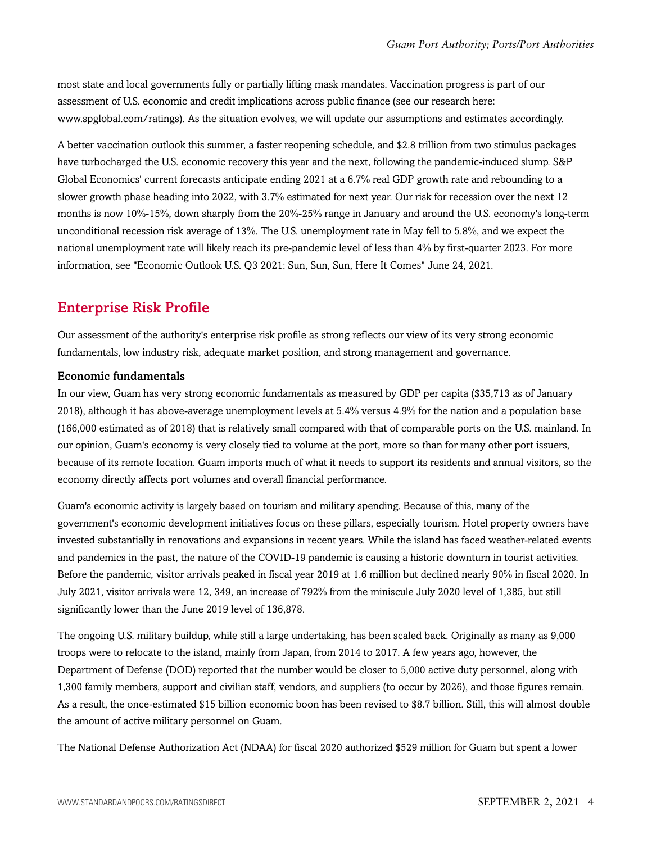most state and local governments fully or partially lifting mask mandates. Vaccination progress is part of our assessment of U.S. economic and credit implications across public finance (see our research here: www.spglobal.com/ratings). As the situation evolves, we will update our assumptions and estimates accordingly.

A better vaccination outlook this summer, a faster reopening schedule, and \$2.8 trillion from two stimulus packages have turbocharged the U.S. economic recovery this year and the next, following the pandemic-induced slump. S&P Global Economics' current forecasts anticipate ending 2021 at a 6.7% real GDP growth rate and rebounding to a slower growth phase heading into 2022, with 3.7% estimated for next year. Our risk for recession over the next 12 months is now 10%-15%, down sharply from the 20%-25% range in January and around the U.S. economy's long-term unconditional recession risk average of 13%. The U.S. unemployment rate in May fell to 5.8%, and we expect the national unemployment rate will likely reach its pre-pandemic level of less than 4% by first-quarter 2023. For more information, see "Economic Outlook U.S. Q3 2021: Sun, Sun, Sun, Here It Comes" June 24, 2021.

## <span id="page-3-0"></span>Enterprise Risk Profile

Our assessment of the authority's enterprise risk profile as strong reflects our view of its very strong economic fundamentals, low industry risk, adequate market position, and strong management and governance.

## Economic fundamentals

In our view, Guam has very strong economic fundamentals as measured by GDP per capita (\$35,713 as of January 2018), although it has above-average unemployment levels at 5.4% versus 4.9% for the nation and a population base (166,000 estimated as of 2018) that is relatively small compared with that of comparable ports on the U.S. mainland. In our opinion, Guam's economy is very closely tied to volume at the port, more so than for many other port issuers, because of its remote location. Guam imports much of what it needs to support its residents and annual visitors, so the economy directly affects port volumes and overall financial performance.

Guam's economic activity is largely based on tourism and military spending. Because of this, many of the government's economic development initiatives focus on these pillars, especially tourism. Hotel property owners have invested substantially in renovations and expansions in recent years. While the island has faced weather-related events and pandemics in the past, the nature of the COVID-19 pandemic is causing a historic downturn in tourist activities. Before the pandemic, visitor arrivals peaked in fiscal year 2019 at 1.6 million but declined nearly 90% in fiscal 2020. In July 2021, visitor arrivals were 12, 349, an increase of 792% from the miniscule July 2020 level of 1,385, but still significantly lower than the June 2019 level of 136,878.

The ongoing U.S. military buildup, while still a large undertaking, has been scaled back. Originally as many as 9,000 troops were to relocate to the island, mainly from Japan, from 2014 to 2017. A few years ago, however, the Department of Defense (DOD) reported that the number would be closer to 5,000 active duty personnel, along with 1,300 family members, support and civilian staff, vendors, and suppliers (to occur by 2026), and those figures remain. As a result, the once-estimated \$15 billion economic boon has been revised to \$8.7 billion. Still, this will almost double the amount of active military personnel on Guam.

The National Defense Authorization Act (NDAA) for fiscal 2020 authorized \$529 million for Guam but spent a lower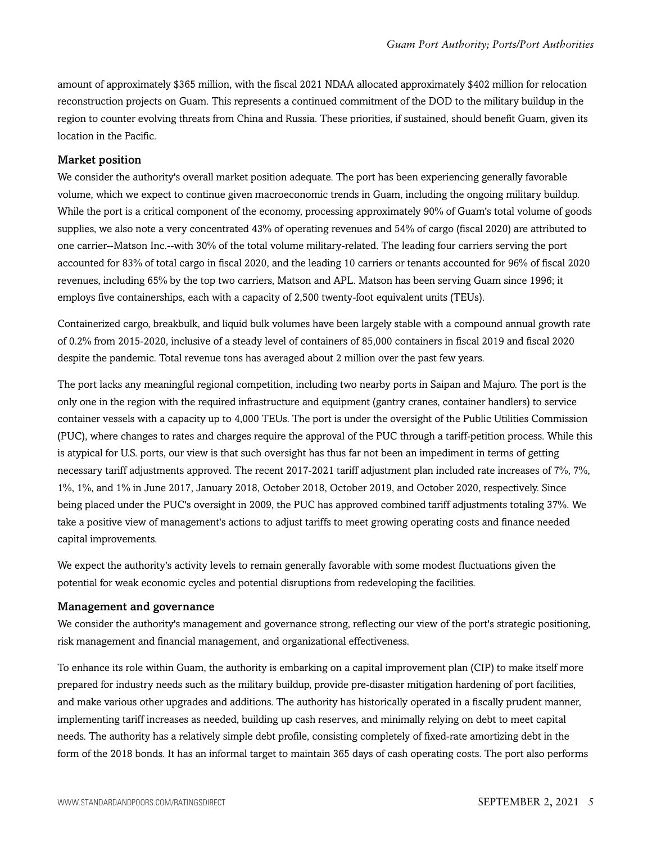amount of approximately \$365 million, with the fiscal 2021 NDAA allocated approximately \$402 million for relocation reconstruction projects on Guam. This represents a continued commitment of the DOD to the military buildup in the region to counter evolving threats from China and Russia. These priorities, if sustained, should benefit Guam, given its location in the Pacific.

#### Market position

We consider the authority's overall market position adequate. The port has been experiencing generally favorable volume, which we expect to continue given macroeconomic trends in Guam, including the ongoing military buildup. While the port is a critical component of the economy, processing approximately 90% of Guam's total volume of goods supplies, we also note a very concentrated 43% of operating revenues and 54% of cargo (fiscal 2020) are attributed to one carrier--Matson Inc.--with 30% of the total volume military-related. The leading four carriers serving the port accounted for 83% of total cargo in fiscal 2020, and the leading 10 carriers or tenants accounted for 96% of fiscal 2020 revenues, including 65% by the top two carriers, Matson and APL. Matson has been serving Guam since 1996; it employs five containerships, each with a capacity of 2,500 twenty-foot equivalent units (TEUs).

Containerized cargo, breakbulk, and liquid bulk volumes have been largely stable with a compound annual growth rate of 0.2% from 2015-2020, inclusive of a steady level of containers of 85,000 containers in fiscal 2019 and fiscal 2020 despite the pandemic. Total revenue tons has averaged about 2 million over the past few years.

The port lacks any meaningful regional competition, including two nearby ports in Saipan and Majuro. The port is the only one in the region with the required infrastructure and equipment (gantry cranes, container handlers) to service container vessels with a capacity up to 4,000 TEUs. The port is under the oversight of the Public Utilities Commission (PUC), where changes to rates and charges require the approval of the PUC through a tariff-petition process. While this is atypical for U.S. ports, our view is that such oversight has thus far not been an impediment in terms of getting necessary tariff adjustments approved. The recent 2017-2021 tariff adjustment plan included rate increases of 7%, 7%, 1%, 1%, and 1% in June 2017, January 2018, October 2018, October 2019, and October 2020, respectively. Since being placed under the PUC's oversight in 2009, the PUC has approved combined tariff adjustments totaling 37%. We take a positive view of management's actions to adjust tariffs to meet growing operating costs and finance needed capital improvements.

We expect the authority's activity levels to remain generally favorable with some modest fluctuations given the potential for weak economic cycles and potential disruptions from redeveloping the facilities.

#### Management and governance

We consider the authority's management and governance strong, reflecting our view of the port's strategic positioning, risk management and financial management, and organizational effectiveness.

To enhance its role within Guam, the authority is embarking on a capital improvement plan (CIP) to make itself more prepared for industry needs such as the military buildup, provide pre-disaster mitigation hardening of port facilities, and make various other upgrades and additions. The authority has historically operated in a fiscally prudent manner, implementing tariff increases as needed, building up cash reserves, and minimally relying on debt to meet capital needs. The authority has a relatively simple debt profile, consisting completely of fixed-rate amortizing debt in the form of the 2018 bonds. It has an informal target to maintain 365 days of cash operating costs. The port also performs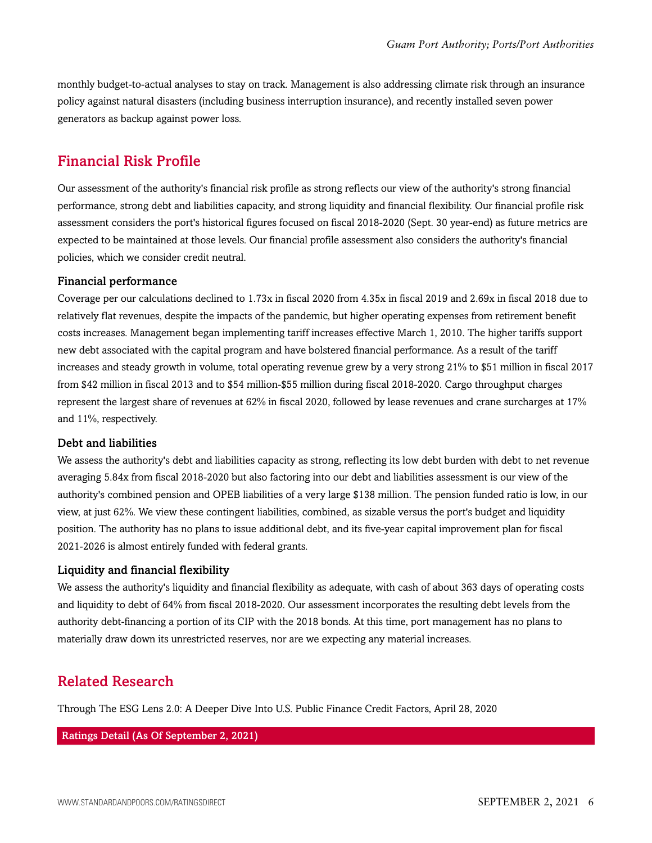monthly budget-to-actual analyses to stay on track. Management is also addressing climate risk through an insurance policy against natural disasters (including business interruption insurance), and recently installed seven power generators as backup against power loss.

## <span id="page-5-0"></span>Financial Risk Profile

Our assessment of the authority's financial risk profile as strong reflects our view of the authority's strong financial performance, strong debt and liabilities capacity, and strong liquidity and financial flexibility. Our financial profile risk assessment considers the port's historical figures focused on fiscal 2018-2020 (Sept. 30 year-end) as future metrics are expected to be maintained at those levels. Our financial profile assessment also considers the authority's financial policies, which we consider credit neutral.

#### Financial performance

Coverage per our calculations declined to 1.73x in fiscal 2020 from 4.35x in fiscal 2019 and 2.69x in fiscal 2018 due to relatively flat revenues, despite the impacts of the pandemic, but higher operating expenses from retirement benefit costs increases. Management began implementing tariff increases effective March 1, 2010. The higher tariffs support new debt associated with the capital program and have bolstered financial performance. As a result of the tariff increases and steady growth in volume, total operating revenue grew by a very strong 21% to \$51 million in fiscal 2017 from \$42 million in fiscal 2013 and to \$54 million-\$55 million during fiscal 2018-2020. Cargo throughput charges represent the largest share of revenues at 62% in fiscal 2020, followed by lease revenues and crane surcharges at 17% and 11%, respectively.

#### Debt and liabilities

We assess the authority's debt and liabilities capacity as strong, reflecting its low debt burden with debt to net revenue averaging 5.84x from fiscal 2018-2020 but also factoring into our debt and liabilities assessment is our view of the authority's combined pension and OPEB liabilities of a very large \$138 million. The pension funded ratio is low, in our view, at just 62%. We view these contingent liabilities, combined, as sizable versus the port's budget and liquidity position. The authority has no plans to issue additional debt, and its five-year capital improvement plan for fiscal 2021-2026 is almost entirely funded with federal grants.

#### Liquidity and financial flexibility

We assess the authority's liquidity and financial flexibility as adequate, with cash of about 363 days of operating costs and liquidity to debt of 64% from fiscal 2018-2020. Our assessment incorporates the resulting debt levels from the authority debt-financing a portion of its CIP with the 2018 bonds. At this time, port management has no plans to materially draw down its unrestricted reserves, nor are we expecting any material increases.

## <span id="page-5-1"></span>Related Research

Through The ESG Lens 2.0: A Deeper Dive Into U.S. Public Finance Credit Factors, April 28, 2020

#### Ratings Detail (As Of September 2, 2021)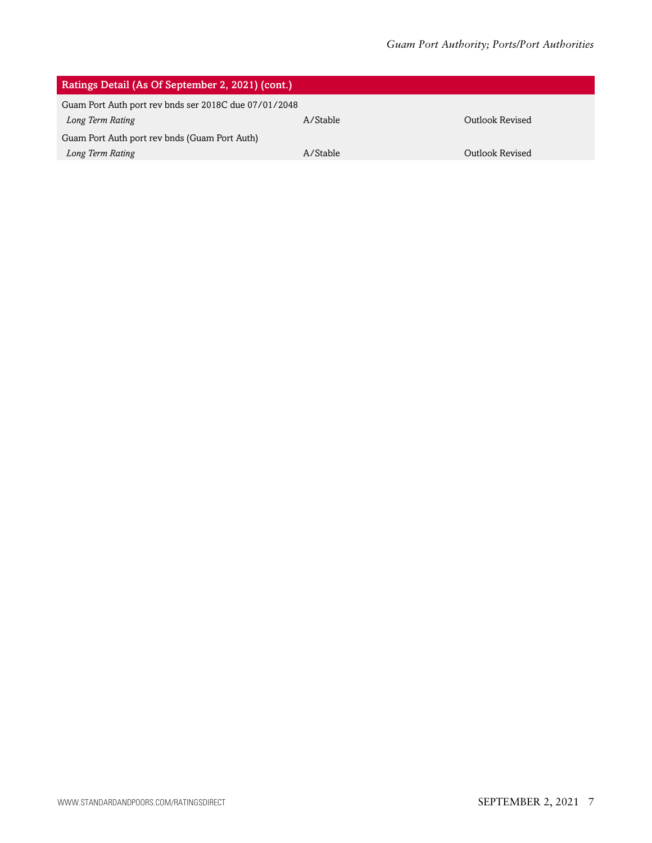| Ratings Detail (As Of September 2, 2021) (cont.)      |          |                 |
|-------------------------------------------------------|----------|-----------------|
| Guam Port Auth port rev bnds ser 2018C due 07/01/2048 |          |                 |
| Long Term Rating                                      | A/Stable | Outlook Revised |
| Guam Port Auth port rev bnds (Guam Port Auth)         |          |                 |
| Long Term Rating                                      | A/Stable | Outlook Revised |